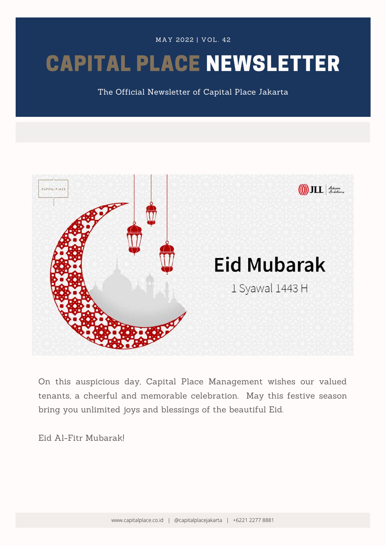MAY 2022 | VOL. 42

# CAPITAL PLACE NEWSLETTER

The Official Newsletter of Capital Place Jakarta



On this auspicious day, Capital Place Management wishes our valued tenants, a cheerful and memorable celebration. May this festive season bring you unlimited joys and blessings of the beautiful Eid.

Eid Al-Fitr Mubarak!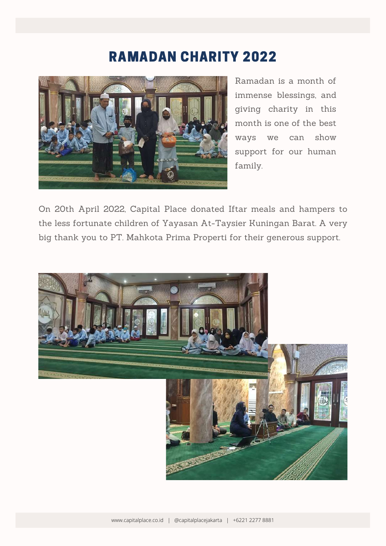### RAMADAN CHARITY 2022



Ramadan is a month of immense blessings, and giving charity in this month is one of the best ways we can show support for our human family.

On 20th April 2022, Capital Place donated Iftar meals and hampers to the less fortunate children of Yayasan At-Taysier Kuningan Barat. A very big thank you to PT. Mahkota Prima Properti for their generous support.

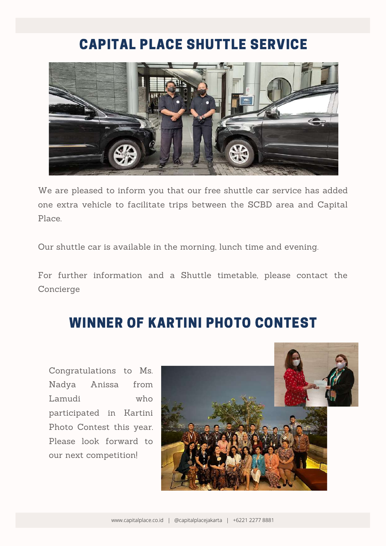## CAPITAL PLACE SHUTTLE SERVICE



We are pleased to inform you that our free shuttle car service has added one extra vehicle to facilitate trips between the SCBD area and Capital Place.

Our shuttle car is available in the morning, lunch time and evening.

For further information and a Shuttle timetable, please contact the Concierge

## WINNER OF KARTINI PHOTO CONTEST

Congratulations to Ms. Nadya Anissa from Lamudi who participated in Kartini Photo Contest this year. Please look forward to our next competition!

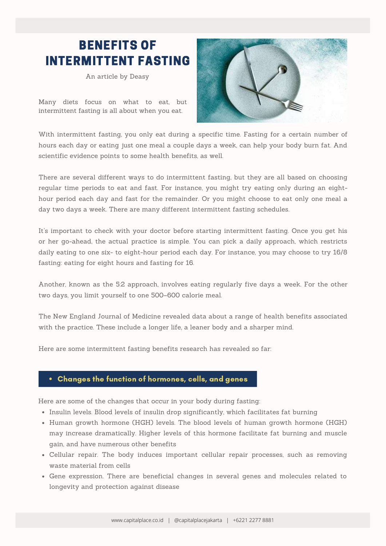### BENEFITS OF INTERMITTENT FASTING

An article by Deasy

Many diets focus on what to eat, but intermittent fasting is all about when you eat.



With intermittent fasting, you only eat during a specific time. Fasting for a certain number of hours each day or eating just one meal a couple days a week, can help your body burn fat. And scientific evidence points to some health benefits, as well.

There are several different ways to do intermittent fasting, but they are all based on choosing regular time periods to eat and fast. For instance, you might try eating only during an eighthour period each day and fast for the remainder. Or you might choose to eat only one meal a day two days a week. There are many different intermittent fasting schedules.

It's important to check with your doctor before starting intermittent fasting. Once you get his or her go-ahead, the actual practice is simple. You can pick a daily approach, which restricts daily eating to one six- to eight-hour period each day. For instance, you may choose to try 16/8 fasting: eating for eight hours and fasting for 16.

Another, known as the 5:2 approach, involves eating regularly five days a week. For the other two days, you limit yourself to one 500–600 calorie meal.

The New England Journal of Medicine revealed data about a range of health benefits associated with the practice. These include a longer life, a leaner body and a sharper mind.

Here are some intermittent fasting benefits research has revealed so far:

#### Changes the function of hormones, cells, and genes

Here are some of the changes that occur in your body during fasting:

- Insulin levels. Blood levels of [insulin](https://www.healthline.com/health/type-2-diabetes/insulin) drop significantly, which facilitates fat burning
- Human growth hormone (HGH) levels. The blood levels of human growth [hormone](https://www.healthline.com/nutrition/11-ways-to-increase-hgh) (HGH) may increase dramatically. Higher levels of this hormone facilitate fat burning and muscle gain, and have numerous other benefits
- Cellular repair. The body induces important cellular repair processes, such as removing waste material from cells
- Gene expression. There are beneficial changes in several genes and molecules related to longevity and protection against disease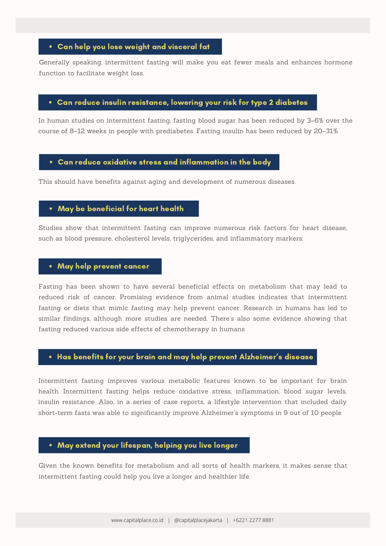#### Can help you lose weight and visceral fat

Generally speaking, intermittent fasting will make you eat fewer meals and enhances hormone function to facilitate weight loss.

#### Can reduce insulin resistance, lowering your risk for type 2 diabetes

In human studies on intermittent fasting, fasting blood sugar has been reduced by 3–6% over the course of 8–12 weeks in people with prediabetes. Fasting insulin has been reduced by 20–31%

#### Can reduce oxidative stress and inflammation in the body

This should have benefits against aging and development of numerous diseases.

#### May be beneficial for heart health

Studies show that intermittent fasting can improve numerous risk factors for heart disease, such as blood pressure, cholesterol levels, triglycerides, and inflammatory markers.

#### May help prevent cancer

Fasting has been shown to have several [beneficial](https://www.healthline.com/nutrition/fasting-benefits) effects on metabolism that may lead to reduced risk of cancer. Promising evidence from animal studies indicates that intermittent fasting or diets that mimic fasting may help prevent cancer. Research in humans has led to similar findings, although more studies are needed. There's also some evidence showing that fasting reduced various side effects of chemotherapy in humans

#### Has benefits for your brain and may help prevent Alzheimer's disease

Intermittent fasting improves various metabolic features known to be important for brain health. Intermittent fasting helps reduce oxidative stress, inflammation, blood sugar [levels,](https://www.healthline.com/nutrition/15-ways-to-lower-blood-sugar) insulin [resistance](https://www.healthline.com/nutrition/improve-insulin-sensitivity). Also, in a series of case reports, a lifestyle intervention that included daily short-term fasts was able to significantly improve Alzheimer's symptoms in 9 out of 10 people

#### May extend your lifespan, helping you live longer

Given the known benefits for metabolism and all sorts of health markers, it makes sense that intermittent fasting could help you live a longer and [healthier](https://www.healthline.com/nutrition/13-habits-linked-to-a-long-life) life.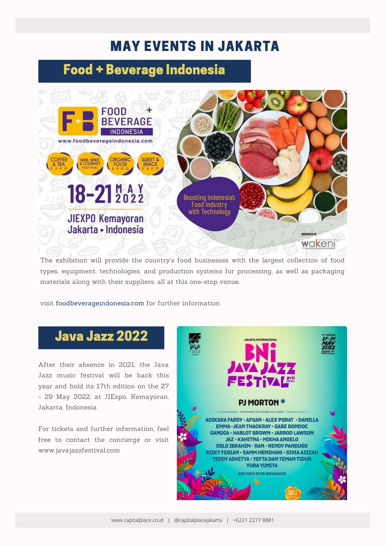## MAY EVENTS IN JAKARTA

### Food + Beverage Indonesia



The exhibition will provide the country's food businesses with the largest collection of food types, equipment, technologies, and production systems for processing, as well as packaging materials along with their suppliers, all at this one-stop venue.

visit foodbeverageindonesia.com for further information

### Java Jazz 2022

After their absence in 2021, the Java Jazz music festival will be back this year and hold its 17th edition on the 27 - 29 May 2022, at JIExpo, Kemayoran, Jakarta, Indonesia.

For tickets and further information, feel free to contact the concierge or visit www.javajazzfestival.com

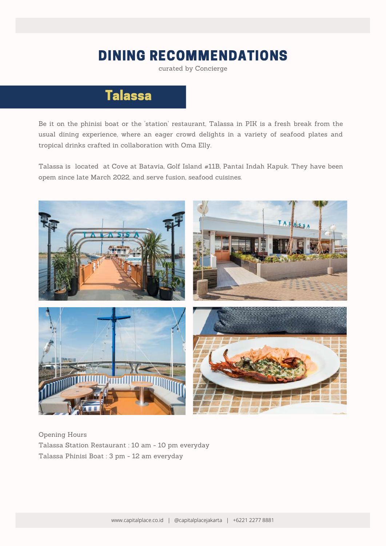### DINING RECOMMENDATIONS

curated by Concierge

## Talassa

Be it on the phinisi boat or the 'station' restaurant, Talassa in PIK is a fresh break from the usual dining experience, where an eager crowd delights in a variety of seafood plates and tropical drinks crafted in collaboration with Oma Elly.

Talassa is located at Cove at [Batavia,](https://www.google.com.au/maps/?q=Array) Golf Island #11B, Pantai Indah Kapuk. They have been opem since late March 2022, and serve fusion, seafood cuisines.



Opening Hours Talassa Station Restaurant : 10 am - 10 pm everyday Talassa Phinisi Boat : 3 pm - 12 am everyday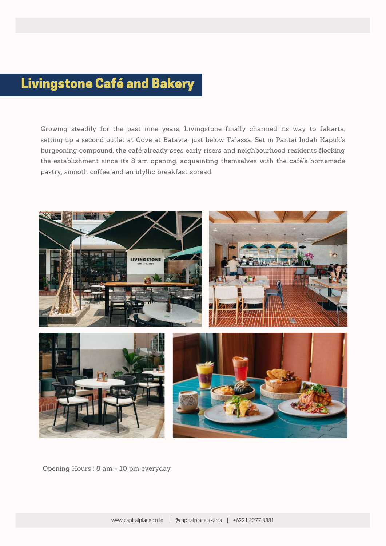## Livingstone Café and Bakery

Growing steadily for the past nine years, Livingstone finally charmed its way to Jakarta, setting up a second outlet at Cove at Batavia, just below [Talassa.](https://manual.co.id/article/talassa-pik/) Set in Pantai Indah Kapuk's burgeoning compound, the café already sees early risers and neighbourhood residents flocking the establishment since its 8 am opening, acquainting themselves with the café's homemade pastry, smooth coffee and an idyllic breakfast spread.



Opening Hours : 8 am - 10 pm everyday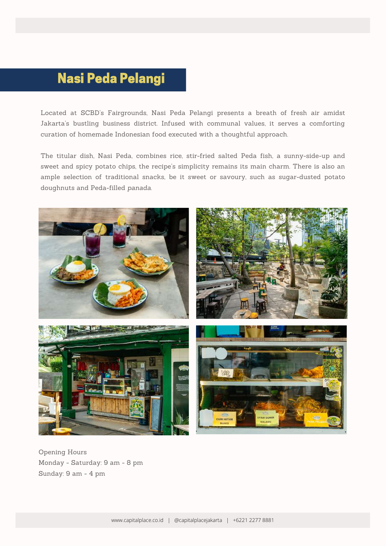## Nasi Peda Pelangi

Located at SCBD's Fairgrounds, Nasi Peda Pelangi presents a breath of fresh air amidst Jakarta's bustling business district. Infused with communal values, it serves a comforting curation of homemade Indonesian food executed with a thoughtful approach.

The titular dish, Nasi Peda, combines rice, stir-fried salted Peda fish, a sunny-side-up and sweet and spicy potato chips, the recipe's simplicity remains its main charm. There is also an ample selection of traditional snacks, be it sweet or savoury, such as sugar-dusted potato doughnuts and Peda-filled *panada*.



Opening Hours Monday - Saturday: 9 am - 8 pm Sunday: 9 am - 4 pm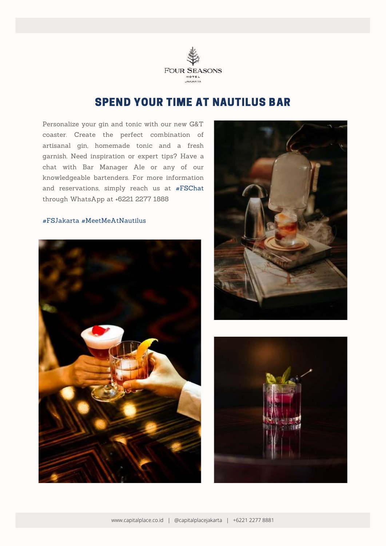

#### SPEND YOUR TIME AT NAUTILUS BAR

Personalize your gin and tonic with our new G&T coaster. Create the perfect combination of artisanal gin, homemade tonic and a fresh garnish. Need inspiration or expert tips? Have a chat with Bar Manager Ale or any of our knowledgeable bartenders. For more information and reservations, simply reach us at [#FSChat](https://www.instagram.com/explore/tags/fschat/) through WhatsApp at +6221 2277 1888

#### [#FSJakarta](https://www.instagram.com/explore/tags/fsjakarta/) [#MeetMeAtNautilus](https://www.instagram.com/explore/tags/meetmeatnautilus/)





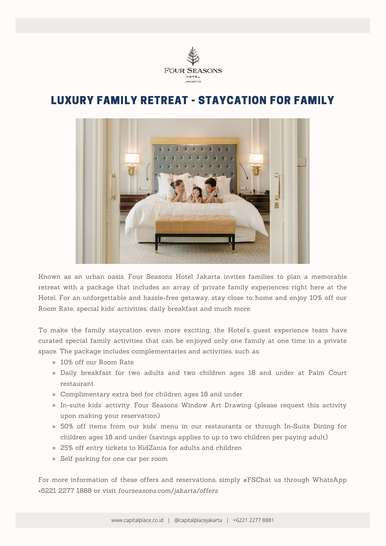

#### LUXURY FAMILY RETREAT - STAYCATION FOR FAMILY



Known as an urban oasis, Four Seasons Hotel Jakarta invites families to plan a memorable retreat with a package that includes an array of private family experiences right here at the Hotel. For an unforgettable and hassle-free getaway, stay close to home and enjoy 10% off our Room Rate, special kids' activities, daily breakfast and much more.

To make the family staycation even more exciting, the Hotel's guest experience team have curated special family activities that can be enjoyed only one family at one time in a private space. The package includes complementaries and activities, such as:

- 10% off our Room Rate
- Daily breakfast for two adults and two children ages 18 and under at Palm Court restaurant
- Complimentary extra bed for children ages 18 and under
- In-suite kids' activity: Four Seasons Window Art Drawing (please request this activity upon making your reservation)
- 50% off items from our kids' menu in our restaurants or through In-Suite Dining for children ages 18 and under (savings applies to up to two children per paying adult)
- 25% off entry tickets to KidZania for adults and children
- Self parking for one car per room

For more information of these offers and reservations, simply #FSChat us through WhatsApp +6221 2277 1888 or visit *[fourseasons.com/jakarta/offers](http://fourseasons.com/jakarta/offers)*